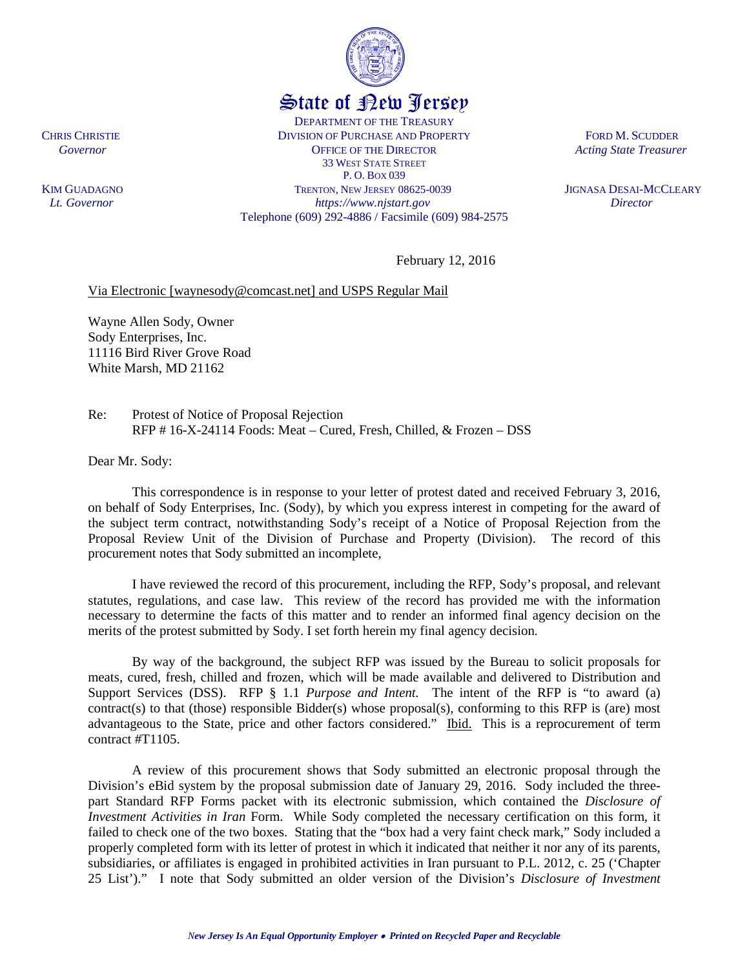State of New Jersey DEPARTMENT OF THE TREASURY CHRIS CHRISTIE DIVISION OF PURCHASE AND PROPERTY FORD M. SCUDDER **Covernor COVERGIST OF THE DIRECTOR** *Acting State Treasurer* 33 WEST STATE STREET P. O. BOX 039 KIM GUADAGNOTRENTON, NEW JERSEY 08625-0039 JIGNASA DESAI-MCCLEARY  *Lt. Governor https://www.njstart.gov Director* Telephone (609) 292-4886 / Facsimile (609) 984-2575

February 12, 2016

## Via Electronic [waynesody@comcast.net] and USPS Regular Mail

Wayne Allen Sody, Owner Sody Enterprises, Inc. 11116 Bird River Grove Road White Marsh, MD 21162

Re: Protest of Notice of Proposal Rejection RFP # 16-X-24114 Foods: Meat – Cured, Fresh, Chilled, & Frozen – DSS

Dear Mr. Sody:

This correspondence is in response to your letter of protest dated and received February 3, 2016, on behalf of Sody Enterprises, Inc. (Sody), by which you express interest in competing for the award of the subject term contract, notwithstanding Sody's receipt of a Notice of Proposal Rejection from the Proposal Review Unit of the Division of Purchase and Property (Division). The record of this procurement notes that Sody submitted an incomplete,

I have reviewed the record of this procurement, including the RFP, Sody's proposal, and relevant statutes, regulations, and case law. This review of the record has provided me with the information necessary to determine the facts of this matter and to render an informed final agency decision on the merits of the protest submitted by Sody. I set forth herein my final agency decision.

By way of the background, the subject RFP was issued by the Bureau to solicit proposals for meats, cured, fresh, chilled and frozen, which will be made available and delivered to Distribution and Support Services (DSS). RFP § 1.1 *Purpose and Intent.* The intent of the RFP is "to award (a) contract(s) to that (those) responsible  $Bidder(s)$  whose proposal(s), conforming to this RFP is (are) most advantageous to the State, price and other factors considered." Ibid. This is a reprocurement of term contract #T1105.

A review of this procurement shows that Sody submitted an electronic proposal through the Division's eBid system by the proposal submission date of January 29, 2016. Sody included the threepart Standard RFP Forms packet with its electronic submission, which contained the *Disclosure of Investment Activities in Iran* Form. While Sody completed the necessary certification on this form, it failed to check one of the two boxes. Stating that the "box had a very faint check mark," Sody included a properly completed form with its letter of protest in which it indicated that neither it nor any of its parents, subsidiaries, or affiliates is engaged in prohibited activities in Iran pursuant to P.L. 2012, c. 25 ('Chapter 25 List')." I note that Sody submitted an older version of the Division's *Disclosure of Investment* 

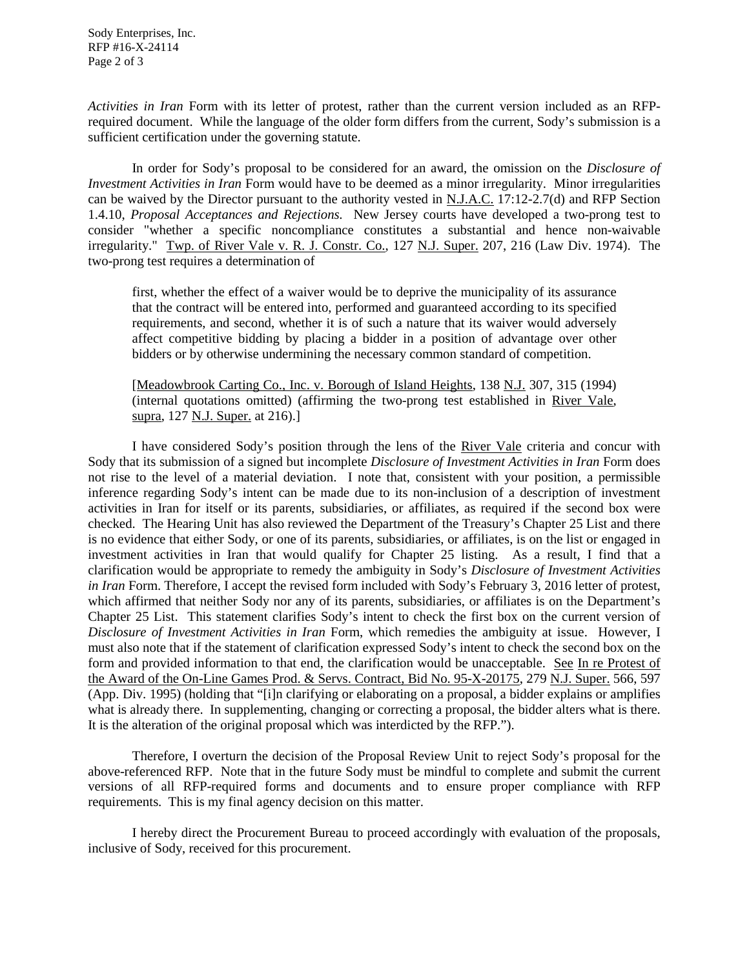*Activities in Iran* Form with its letter of protest, rather than the current version included as an RFPrequired document. While the language of the older form differs from the current, Sody's submission is a sufficient certification under the governing statute.

In order for Sody's proposal to be considered for an award, the omission on the *Disclosure of Investment Activities in Iran* Form would have to be deemed as a minor irregularity. Minor irregularities can be waived by the Director pursuant to the authority vested in N.J.A.C. 17:12-2.7(d) and RFP Section 1.4.10, *Proposal Acceptances and Rejections.* New Jersey courts have developed a two-prong test to consider "whether a specific noncompliance constitutes a substantial and hence non-waivable irregularity." Twp. of River Vale v. R. J. Constr. Co., 127 N.J. Super. 207, 216 (Law Div. 1974). The two-prong test requires a determination of

first, whether the effect of a waiver would be to deprive the municipality of its assurance that the contract will be entered into, performed and guaranteed according to its specified requirements, and second, whether it is of such a nature that its waiver would adversely affect competitive bidding by placing a bidder in a position of advantage over other bidders or by otherwise undermining the necessary common standard of competition.

[Meadowbrook Carting Co., Inc. v. Borough of Island Heights, 138 N.J. 307, 315 (1994) (internal quotations omitted) (affirming the two-prong test established in River Vale, supra, 127 N.J. Super. at 216).]

I have considered Sody's position through the lens of the River Vale criteria and concur with Sody that its submission of a signed but incomplete *Disclosure of Investment Activities in Iran* Form does not rise to the level of a material deviation. I note that, consistent with your position, a permissible inference regarding Sody's intent can be made due to its non-inclusion of a description of investment activities in Iran for itself or its parents, subsidiaries, or affiliates, as required if the second box were checked. The Hearing Unit has also reviewed the Department of the Treasury's Chapter 25 List and there is no evidence that either Sody, or one of its parents, subsidiaries, or affiliates, is on the list or engaged in investment activities in Iran that would qualify for Chapter 25 listing. As a result, I find that a clarification would be appropriate to remedy the ambiguity in Sody's *Disclosure of Investment Activities in Iran* Form. Therefore, I accept the revised form included with Sody's February 3, 2016 letter of protest, which affirmed that neither Sody nor any of its parents, subsidiaries, or affiliates is on the Department's Chapter 25 List. This statement clarifies Sody's intent to check the first box on the current version of *Disclosure of Investment Activities in Iran* Form, which remedies the ambiguity at issue. However, I must also note that if the statement of clarification expressed Sody's intent to check the second box on the form and provided information to that end, the clarification would be unacceptable. See In re Protest of the Award of the On-Line Games Prod. & Servs. Contract, Bid No. 95-X-20175, 279 N.J. Super. 566, 597 (App. Div. 1995) (holding that "[i]n clarifying or elaborating on a proposal, a bidder explains or amplifies what is already there. In supplementing, changing or correcting a proposal, the bidder alters what is there. It is the alteration of the original proposal which was interdicted by the RFP.").

Therefore, I overturn the decision of the Proposal Review Unit to reject Sody's proposal for the above-referenced RFP. Note that in the future Sody must be mindful to complete and submit the current versions of all RFP-required forms and documents and to ensure proper compliance with RFP requirements. This is my final agency decision on this matter.

I hereby direct the Procurement Bureau to proceed accordingly with evaluation of the proposals, inclusive of Sody, received for this procurement.